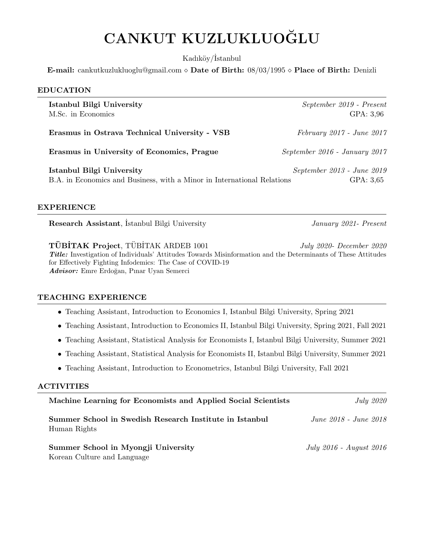# CANKUT KUZLUKLUOĞLU

Kadıköv/İstanbul

**E-mail:** cankutkuzlukluoglu@gmail.com  $\diamond$  Date of Birth: 08/03/1995  $\diamond$  Place of Birth: Denizli

| <b>EDUCATION</b>                                                                                     |                                         |
|------------------------------------------------------------------------------------------------------|-----------------------------------------|
| Istanbul Bilgi University<br>M.Sc. in Economics                                                      | September 2019 - Present<br>GPA: 3,96   |
| Erasmus in Ostrava Technical University - VSB                                                        | $February\ 2017$ - June $2017$          |
| Erasmus in University of Economics, Prague                                                           | September 2016 - January 2017           |
| Istanbul Bilgi University<br>B.A. in Economics and Business, with a Minor in International Relations | September 2013 - June 2019<br>GPA: 3,65 |

## EXPERIENCE

Research Assistant, İstanbul Bilgi University January 2021- Present

**TÜBİTAK Project**, TÜBİTAK ARDEB 1001 July 2020- December 2020 Title: Investigation of Individuals' Attitudes Towards Misinformation and the Determinants of These Attitudes for Effectively Fighting Infodemics: The Case of COVID-19 Advisor: Emre Erdoğan, Pınar Uyan Semerci

# TEACHING EXPERIENCE

- Teaching Assistant, Introduction to Economics I, Istanbul Bilgi University, Spring 2021
- Teaching Assistant, Introduction to Economics II, Istanbul Bilgi University, Spring 2021, Fall 2021
- Teaching Assistant, Statistical Analysis for Economists I, Istanbul Bilgi University, Summer 2021
- Teaching Assistant, Statistical Analysis for Economists II, Istanbul Bilgi University, Summer 2021
- Teaching Assistant, Introduction to Econometrics, Istanbul Bilgi University, Fall 2021

#### ACTIVITIES

| Machine Learning for Economists and Applied Social Scientists           | <i>July 2020</i>        |
|-------------------------------------------------------------------------|-------------------------|
| Summer School in Swedish Research Institute in Istanbul<br>Human Rights | June 2018 - June 2018   |
| Summer School in Myongji University<br>Korean Culture and Language      | July 2016 - August 2016 |